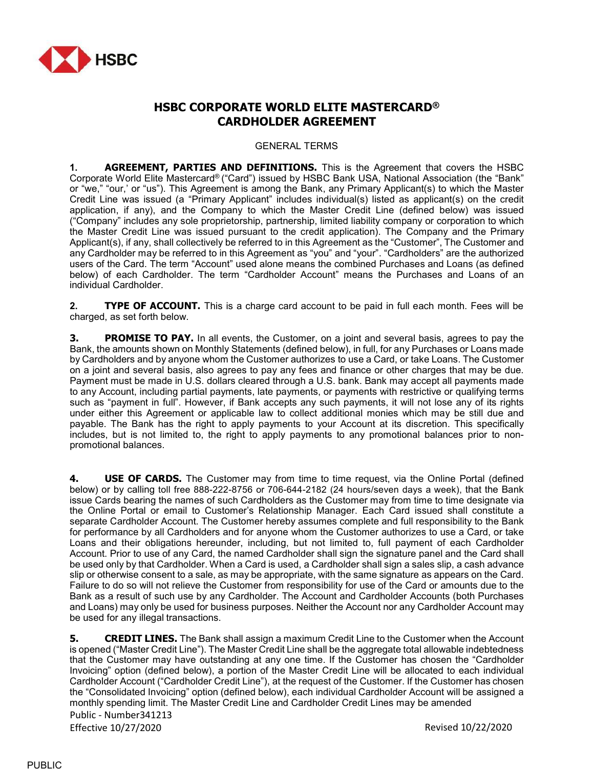

# HSBC CORPORATE WORLD ELITE MASTERCARD® CARDHOLDER AGREEMENT

GENERAL TERMS

1. **AGREEMENT, PARTIES AND DEFINITIONS.** This is the Agreement that covers the HSBC Corporate World Elite Mastercard® ("Card") issued by HSBC Bank USA, National Association (the "Bank" or "we," "our,' or "us"). This Agreement is among the Bank, any Primary Applicant(s) to which the Master Credit Line was issued (a "Primary Applicant" includes individual(s) listed as applicant(s) on the credit application, if any), and the Company to which the Master Credit Line (defined below) was issued ("Company" includes any sole proprietorship, partnership, limited liability company or corporation to which the Master Credit Line was issued pursuant to the credit application). The Company and the Primary Applicant(s), if any, shall collectively be referred to in this Agreement as the "Customer", The Customer and any Cardholder may be referred to in this Agreement as "you" and "your". "Cardholders" are the authorized users of the Card. The term "Account" used alone means the combined Purchases and Loans (as defined below) of each Cardholder. The term "Cardholder Account" means the Purchases and Loans of an individual Cardholder.

2. TYPE OF ACCOUNT. This is a charge card account to be paid in full each month. Fees will be charged, as set forth below.

**3.** PROMISE TO PAY. In all events, the Customer, on a joint and several basis, agrees to pay the Bank, the amounts shown on Monthly Statements (defined below), in full, for any Purchases or Loans made by Cardholders and by anyone whom the Customer authorizes to use a Card, or take Loans. The Customer on a joint and several basis, also agrees to pay any fees and finance or other charges that may be due. Payment must be made in U.S. dollars cleared through a U.S. bank. Bank may accept all payments made to any Account, including partial payments, late payments, or payments with restrictive or qualifying terms such as "payment in full". However, if Bank accepts any such payments, it will not lose any of its rights under either this Agreement or applicable law to collect additional monies which may be still due and payable. The Bank has the right to apply payments to your Account at its discretion. This specifically includes, but is not limited to, the right to apply payments to any promotional balances prior to nonpromotional balances.

**4. USE OF CARDS.** The Customer may from time to time request, via the Online Portal (defined below) or by calling toll free 888-222-8756 or 706-644-2182 (24 hours/seven days a week), that the Bank issue Cards bearing the names of such Cardholders as the Customer may from time to time designate via the Online Portal or email to Customer's Relationship Manager. Each Card issued shall constitute a separate Cardholder Account. The Customer hereby assumes complete and full responsibility to the Bank for performance by all Cardholders and for anyone whom the Customer authorizes to use a Card, or take Loans and their obligations hereunder, including, but not limited to, full payment of each Cardholder Account. Prior to use of any Card, the named Cardholder shall sign the signature panel and the Card shall be used only by that Cardholder. When a Card is used, a Cardholder shall sign a sales slip, a cash advance slip or otherwise consent to a sale, as may be appropriate, with the same signature as appears on the Card. Failure to do so will not relieve the Customer from responsibility for use of the Card or amounts due to the Bank as a result of such use by any Cardholder. The Account and Cardholder Accounts (both Purchases and Loans) may only be used for business purposes. Neither the Account nor any Cardholder Account may be used for any illegal transactions.

Public - Number341213 Effective 10/27/2020 Revised 10/22/2020 **5.** CREDIT LINES. The Bank shall assign a maximum Credit Line to the Customer when the Account is opened ("Master Credit Line"). The Master Credit Line shall be the aggregate total allowable indebtedness that the Customer may have outstanding at any one time. If the Customer has chosen the "Cardholder Invoicing" option (defined below), a portion of the Master Credit Line will be allocated to each individual Cardholder Account ("Cardholder Credit Line"), at the request of the Customer. If the Customer has chosen the "Consolidated Invoicing" option (defined below), each individual Cardholder Account will be assigned a monthly spending limit. The Master Credit Line and Cardholder Credit Lines may be amended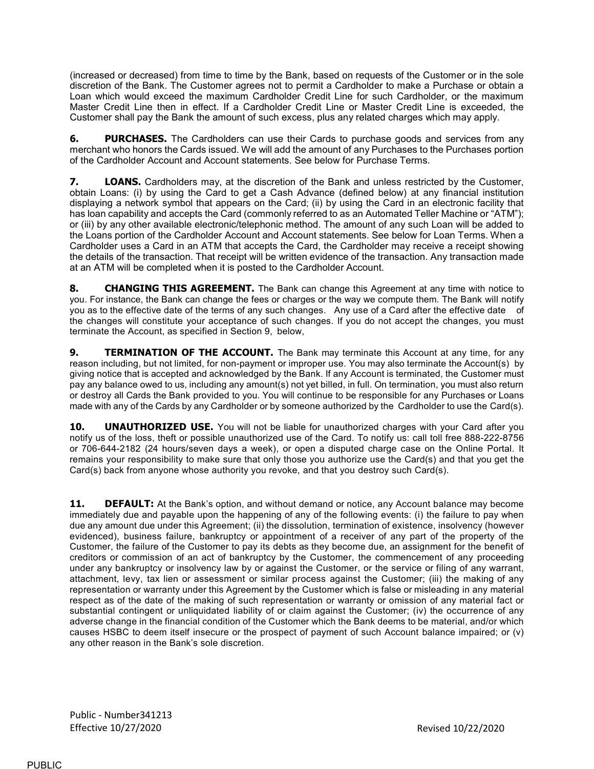(increased or decreased) from time to time by the Bank, based on requests of the Customer or in the sole discretion of the Bank. The Customer agrees not to permit a Cardholder to make a Purchase or obtain a Loan which would exceed the maximum Cardholder Credit Line for such Cardholder, or the maximum Master Credit Line then in effect. If a Cardholder Credit Line or Master Credit Line is exceeded, the Customer shall pay the Bank the amount of such excess, plus any related charges which may apply.

**6. PURCHASES.** The Cardholders can use their Cards to purchase goods and services from any merchant who honors the Cards issued. We will add the amount of any Purchases to the Purchases portion of the Cardholder Account and Account statements. See below for Purchase Terms.

**7.** LOANS. Cardholders may, at the discretion of the Bank and unless restricted by the Customer, obtain Loans: (i) by using the Card to get a Cash Advance (defined below) at any financial institution displaying a network symbol that appears on the Card; (ii) by using the Card in an electronic facility that has loan capability and accepts the Card (commonly referred to as an Automated Teller Machine or "ATM"); or (iii) by any other available electronic/telephonic method. The amount of any such Loan will be added to the Loans portion of the Cardholder Account and Account statements. See below for Loan Terms. When a Cardholder uses a Card in an ATM that accepts the Card, the Cardholder may receive a receipt showing the details of the transaction. That receipt will be written evidence of the transaction. Any transaction made at an ATM will be completed when it is posted to the Cardholder Account.

8. CHANGING THIS AGREEMENT. The Bank can change this Agreement at any time with notice to you. For instance, the Bank can change the fees or charges or the way we compute them. The Bank will notify you as to the effective date of the terms of any such changes. Any use of a Card after the effective date of the changes will constitute your acceptance of such changes. If you do not accept the changes, you must terminate the Account, as specified in Section 9, below,

**9. TERMINATION OF THE ACCOUNT.** The Bank may terminate this Account at any time, for any reason including, but not limited, for non-payment or improper use. You may also terminate the Account(s) by giving notice that is accepted and acknowledged by the Bank. If any Account is terminated, the Customer must pay any balance owed to us, including any amount(s) not yet billed, in full. On termination, you must also return or destroy all Cards the Bank provided to you. You will continue to be responsible for any Purchases or Loans made with any of the Cards by any Cardholder or by someone authorized by the Cardholder to use the Card(s).

**10. UNAUTHORIZED USE.** You will not be liable for unauthorized charges with your Card after you notify us of the loss, theft or possible unauthorized use of the Card. To notify us: call toll free 888-222-8756 or 706-644-2182 (24 hours/seven days a week), or open a disputed charge case on the Online Portal. It remains your responsibility to make sure that only those you authorize use the Card(s) and that you get the Card(s) back from anyone whose authority you revoke, and that you destroy such Card(s).

11. DEFAULT: At the Bank's option, and without demand or notice, any Account balance may become immediately due and payable upon the happening of any of the following events: (i) the failure to pay when due any amount due under this Agreement; (ii) the dissolution, termination of existence, insolvency (however evidenced), business failure, bankruptcy or appointment of a receiver of any part of the property of the Customer, the failure of the Customer to pay its debts as they become due, an assignment for the benefit of creditors or commission of an act of bankruptcy by the Customer, the commencement of any proceeding under any bankruptcy or insolvency law by or against the Customer, or the service or filing of any warrant, attachment, levy, tax lien or assessment or similar process against the Customer; (iii) the making of any representation or warranty under this Agreement by the Customer which is false or misleading in any material respect as of the date of the making of such representation or warranty or omission of any material fact or substantial contingent or unliquidated liability of or claim against the Customer; (iv) the occurrence of any adverse change in the financial condition of the Customer which the Bank deems to be material, and/or which causes HSBC to deem itself insecure or the prospect of payment of such Account balance impaired; or (v) any other reason in the Bank's sole discretion.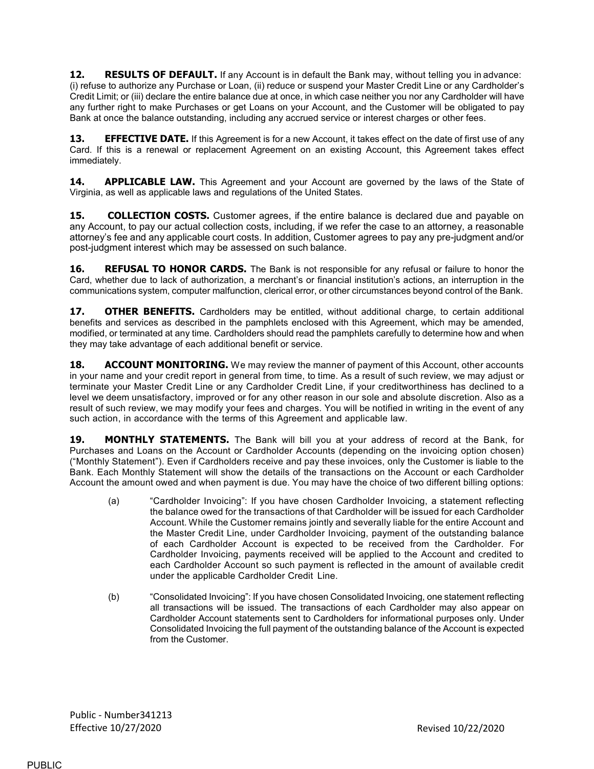12. RESULTS OF DEFAULT. If any Account is in default the Bank may, without telling you in advance: (i) refuse to authorize any Purchase or Loan, (ii) reduce or suspend your Master Credit Line or any Cardholder's Credit Limit; or (iii) declare the entire balance due at once, in which case neither you nor any Cardholder will have any further right to make Purchases or get Loans on your Account, and the Customer will be obligated to pay Bank at once the balance outstanding, including any accrued service or interest charges or other fees.

13. **EFFECTIVE DATE.** If this Agreement is for a new Account, it takes effect on the date of first use of any Card. If this is a renewal or replacement Agreement on an existing Account, this Agreement takes effect immediately.

**14. APPLICABLE LAW.** This Agreement and your Account are governed by the laws of the State of Virginia, as well as applicable laws and regulations of the United States.

**15. COLLECTION COSTS.** Customer agrees, if the entire balance is declared due and payable on any Account, to pay our actual collection costs, including, if we refer the case to an attorney, a reasonable attorney's fee and any applicable court costs. In addition, Customer agrees to pay any pre-judgment and/or post-judgment interest which may be assessed on such balance.

**16. REFUSAL TO HONOR CARDS.** The Bank is not responsible for any refusal or failure to honor the Card, whether due to lack of authorization, a merchant's or financial institution's actions, an interruption in the communications system, computer malfunction, clerical error, or other circumstances beyond control of the Bank.

**17. OTHER BENEFITS.** Cardholders may be entitled, without additional charge, to certain additional benefits and services as described in the pamphlets enclosed with this Agreement, which may be amended, modified, or terminated at any time. Cardholders should read the pamphlets carefully to determine how and when they may take advantage of each additional benefit or service.

**18. ACCOUNT MONITORING.** We may review the manner of payment of this Account, other accounts in your name and your credit report in general from time, to time. As a result of such review, we may adjust or terminate your Master Credit Line or any Cardholder Credit Line, if your creditworthiness has declined to a level we deem unsatisfactory, improved or for any other reason in our sole and absolute discretion. Also as a result of such review, we may modify your fees and charges. You will be notified in writing in the event of any such action, in accordance with the terms of this Agreement and applicable law.

19. MONTHLY STATEMENTS. The Bank will bill you at your address of record at the Bank, for Purchases and Loans on the Account or Cardholder Accounts (depending on the invoicing option chosen) ("Monthly Statement"). Even if Cardholders receive and pay these invoices, only the Customer is liable to the Bank. Each Monthly Statement will show the details of the transactions on the Account or each Cardholder Account the amount owed and when payment is due. You may have the choice of two different billing options:

- (a) "Cardholder Invoicing": If you have chosen Cardholder Invoicing, a statement reflecting the balance owed for the transactions of that Cardholder will be issued for each Cardholder Account. While the Customer remains jointly and severally liable for the entire Account and the Master Credit Line, under Cardholder Invoicing, payment of the outstanding balance of each Cardholder Account is expected to be received from the Cardholder. For Cardholder Invoicing, payments received will be applied to the Account and credited to each Cardholder Account so such payment is reflected in the amount of available credit under the applicable Cardholder Credit Line.
- (b) "Consolidated Invoicing": If you have chosen Consolidated Invoicing, one statement reflecting all transactions will be issued. The transactions of each Cardholder may also appear on Cardholder Account statements sent to Cardholders for informational purposes only. Under Consolidated Invoicing the full payment of the outstanding balance of the Account is expected from the Customer.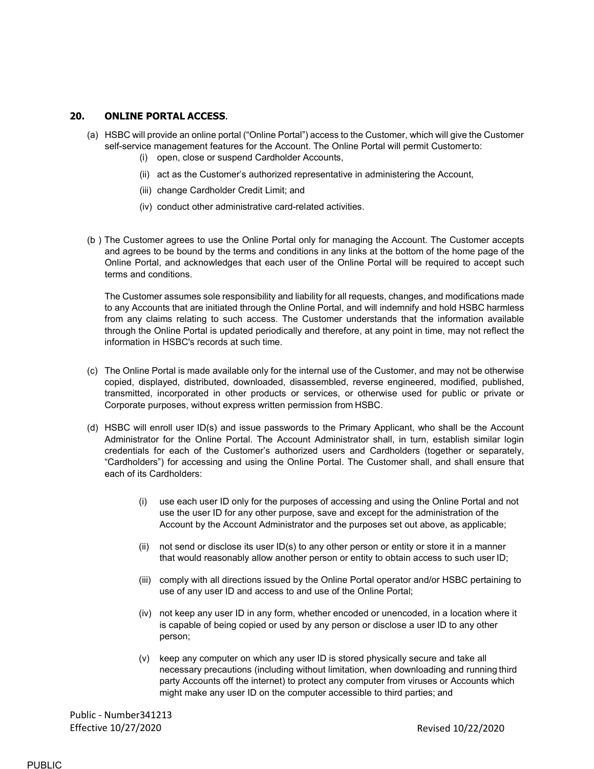#### 20. ONLINE PORTAL ACCESS.

- (a) HSBC will provide an online portal ("Online Portal") access to the Customer, which will give the Customer self-service management features for the Account. The Online Portal will permit Customer to:
	- (i) open, close or suspend Cardholder Accounts,
	- (ii) act as the Customer's authorized representative in administering the Account,
	- (iii) change Cardholder Credit Limit; and
	- (iv) conduct other administrative card-related activities.
- (b ) The Customer agrees to use the Online Portal only for managing the Account. The Customer accepts and agrees to be bound by the terms and conditions in any links at the bottom of the home page of the Online Portal, and acknowledges that each user of the Online Portal will be required to accept such terms and conditions.

The Customer assumes sole responsibility and liability for all requests, changes, and modifications made to any Accounts that are initiated through the Online Portal, and will indemnify and hold HSBC harmless from any claims relating to such access. The Customer understands that the information available through the Online Portal is updated periodically and therefore, at any point in time, may not reflect the information in HSBC's records at such time.

- (c) The Online Portal is made available only for the internal use of the Customer, and may not be otherwise copied, displayed, distributed, downloaded, disassembled, reverse engineered, modified, published, transmitted, incorporated in other products or services, or otherwise used for public or private or Corporate purposes, without express written permission from HSBC.
- (d) HSBC will enroll user ID(s) and issue passwords to the Primary Applicant, who shall be the Account Administrator for the Online Portal. The Account Administrator shall, in turn, establish similar login credentials for each of the Customer's authorized users and Cardholders (together or separately, "Cardholders") for accessing and using the Online Portal. The Customer shall, and shall ensure that each of its Cardholders:
	- (i) use each user ID only for the purposes of accessing and using the Online Portal and not use the user ID for any other purpose, save and except for the administration of the Account by the Account Administrator and the purposes set out above, as applicable;
	- (ii) not send or disclose its user ID(s) to any other person or entity or store it in a manner that would reasonably allow another person or entity to obtain access to such user ID;
	- (iii) comply with all directions issued by the Online Portal operator and/or HSBC pertaining to use of any user ID and access to and use of the Online Portal;
	- (iv) not keep any user ID in any form, whether encoded or unencoded, in a location where it is capable of being copied or used by any person or disclose a user ID to any other person;
	- (v) keep any computer on which any user ID is stored physically secure and take all necessary precautions (including without limitation, when downloading and running third party Accounts off the internet) to protect any computer from viruses or Accounts which might make any user ID on the computer accessible to third parties; and

Public - Number341213 Effective 10/27/2020 Revised 10/22/2020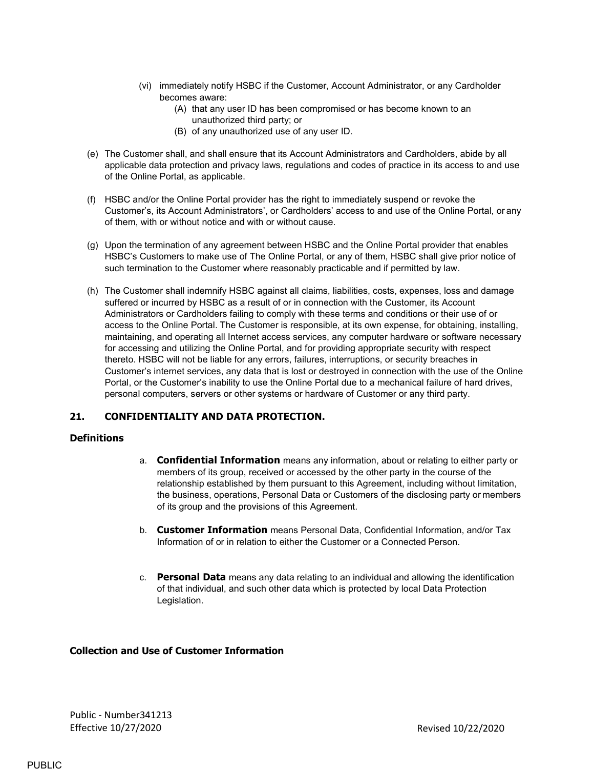- (vi) immediately notify HSBC if the Customer, Account Administrator, or any Cardholder becomes aware:
	- (A) that any user ID has been compromised or has become known to an unauthorized third party; or
	- (B) of any unauthorized use of any user ID.
- (e) The Customer shall, and shall ensure that its Account Administrators and Cardholders, abide by all applicable data protection and privacy laws, regulations and codes of practice in its access to and use of the Online Portal, as applicable.
- (f) HSBC and/or the Online Portal provider has the right to immediately suspend or revoke the Customer's, its Account Administrators', or Cardholders' access to and use of the Online Portal, or any of them, with or without notice and with or without cause.
- (g) Upon the termination of any agreement between HSBC and the Online Portal provider that enables HSBC's Customers to make use of The Online Portal, or any of them, HSBC shall give prior notice of such termination to the Customer where reasonably practicable and if permitted by law.
- (h) The Customer shall indemnify HSBC against all claims, liabilities, costs, expenses, loss and damage suffered or incurred by HSBC as a result of or in connection with the Customer, its Account Administrators or Cardholders failing to comply with these terms and conditions or their use of or access to the Online Portal. The Customer is responsible, at its own expense, for obtaining, installing, maintaining, and operating all Internet access services, any computer hardware or software necessary for accessing and utilizing the Online Portal, and for providing appropriate security with respect thereto. HSBC will not be liable for any errors, failures, interruptions, or security breaches in Customer's internet services, any data that is lost or destroyed in connection with the use of the Online Portal, or the Customer's inability to use the Online Portal due to a mechanical failure of hard drives, personal computers, servers or other systems or hardware of Customer or any third party.

## 21. CONFIDENTIALITY AND DATA PROTECTION.

#### **Definitions**

- a. Confidential Information means any information, about or relating to either party or members of its group, received or accessed by the other party in the course of the relationship established by them pursuant to this Agreement, including without limitation, the business, operations, Personal Data or Customers of the disclosing party or members of its group and the provisions of this Agreement.
- b. **Customer Information** means Personal Data, Confidential Information, and/or Tax Information of or in relation to either the Customer or a Connected Person.
- c. Personal Data means any data relating to an individual and allowing the identification of that individual, and such other data which is protected by local Data Protection Legislation.

### Collection and Use of Customer Information

Public - Number341213 Effective 10/27/2020 **Revised 10/27/2020** Revised 10/22/2020